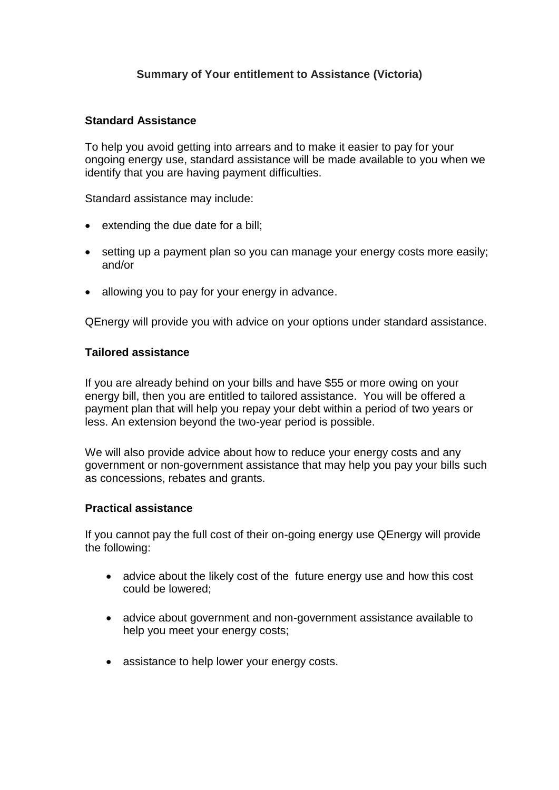# **Summary of Your entitlement to Assistance (Victoria)**

### **Standard Assistance**

To help you avoid getting into arrears and to make it easier to pay for your ongoing energy use, standard assistance will be made available to you when we identify that you are having payment difficulties.

Standard assistance may include:

- $\bullet$  extending the due date for a bill;
- setting up a payment plan so you can manage your energy costs more easily; and/or
- allowing you to pay for your energy in advance.

QEnergy will provide you with advice on your options under standard assistance.

## **Tailored assistance**

If you are already behind on your bills and have \$55 or more owing on your energy bill, then you are entitled to tailored assistance. You will be offered a payment plan that will help you repay your debt within a period of two years or less. An extension beyond the two-year period is possible.

We will also provide advice about how to reduce your energy costs and any government or non-government assistance that may help you pay your bills such as concessions, rebates and grants.

## **Practical assistance**

If you cannot pay the full cost of their on-going energy use QEnergy will provide the following:

- advice about the likely cost of the future energy use and how this cost could be lowered;
- advice about government and non-government assistance available to help you meet your energy costs;
- assistance to help lower your energy costs.